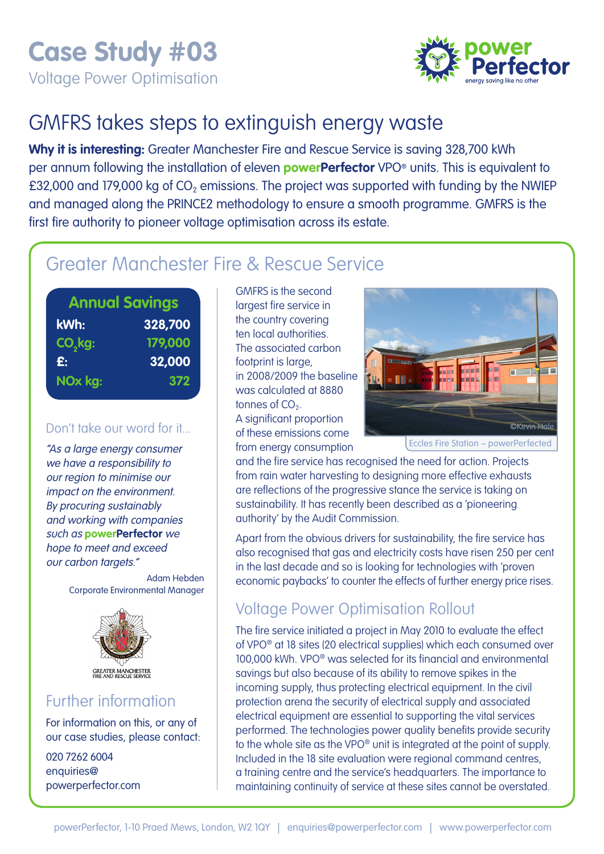Voltage Power Optimisation



# GMFRS takes steps to extinguish energy waste

**Why it is interesting:** Greater Manchester Fire and Rescue Service is saving 328,700 kWh per annum following the installation of eleven **powerPerfector** VPO® units. This is equivalent to £32,000 and 179,000 kg of  $CO<sub>2</sub>$  emissions. The project was supported with funding by the NWIEP and managed along the PRINCE2 methodology to ensure a smooth programme. GMFRS is the first fire authority to pioneer voltage optimisation across its estate.

## Greater Manchester Fire & Rescue Service

| <b>Annual Savings</b> |         |
|-----------------------|---------|
| kWh:                  | 328,700 |
| CO <sub>2</sub> kg:   | 179,000 |
| £:                    | 32,000  |
| NOx kg:               | 372     |
|                       |         |

#### Don't take our word for it...

"As a large energy consumer we have a responsibility to our region to minimise our impact on the environment. By procuring sustainably and working with companies such as **powerPerfector** we hope to meet and exceed our carbon targets."

> Adam Hebden Corporate Environmental Manager



#### Further information

For information on this, or any of our case studies, please contact:

020 7262 6004 enquiries@ powerperfector.com GMFRS is the second largest fire service in the country covering ten local authorities. The associated carbon footprint is large, in 2008/2009 the baseline was calculated at 8880 tonnes of  $CO<sub>2</sub>$ . A significant proportion of these emissions come from energy consumption



Eccles Fire Station – powerPerfected

and the fire service has recognised the need for action. Projects from rain water harvesting to designing more effective exhausts are reflections of the progressive stance the service is taking on sustainability. It has recently been described as a 'pioneering authority' by the Audit Commission.

Apart from the obvious drivers for sustainability, the fire service has also recognised that gas and electricity costs have risen 250 per cent in the last decade and so is looking for technologies with 'proven economic paybacks' to counter the effects of further energy price rises.

#### Voltage Power Optimisation Rollout

The fire service initiated a project in May 2010 to evaluate the effect of VPO® at 18 sites (20 electrical supplies) which each consumed over 100,000 kWh. VPO® was selected for its financial and environmental savings but also because of its ability to remove spikes in the incoming supply, thus protecting electrical equipment. In the civil protection arena the security of electrical supply and associated electrical equipment are essential to supporting the vital services performed. The technologies power quality benefits provide security to the whole site as the VPO® unit is integrated at the point of supply. Included in the 18 site evaluation were regional command centres, a training centre and the service's headquarters. The importance to maintaining continuity of service at these sites cannot be overstated.